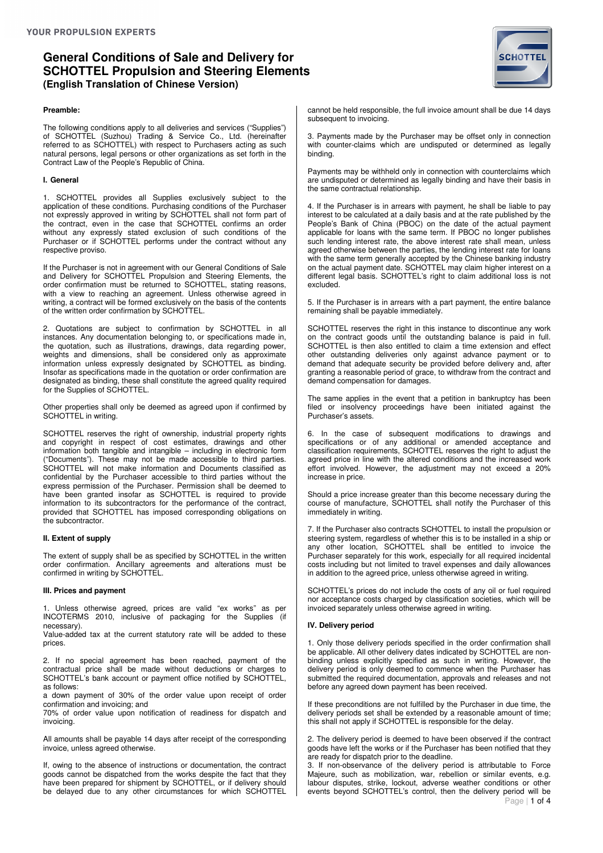### **Preamble:**

The following conditions apply to all deliveries and services ("Supplies") of SCHOTTEL (Suzhou) Trading & Service Co., Ltd. (hereinafter referred to as SCHOTTEL) with respect to Purchasers acting as such natural persons, legal persons or other organizations as set forth in the Contract Law of the People's Republic of China.

#### **I. General**

1. SCHOTTEL provides all Supplies exclusively subject to the application of these conditions. Purchasing conditions of the Purchaser not expressly approved in writing by SCHOTTEL shall not form part of the contract, even in the case that SCHOTTEL confirms an order without any expressly stated exclusion of such conditions of the Purchaser or if SCHOTTEL performs under the contract without any respective proviso.

If the Purchaser is not in agreement with our General Conditions of Sale and Delivery for SCHOTTEL Propulsion and Steering Elements, the order confirmation must be returned to SCHOTTEL, stating reasons, with a view to reaching an agreement. Unless otherwise agreed in writing, a contract will be formed exclusively on the basis of the contents of the written order confirmation by SCHOTTEL.

2. Quotations are subject to confirmation by SCHOTTEL in all instances. Any documentation belonging to, or specifications made in, the quotation, such as illustrations, drawings, data regarding power, weights and dimensions, shall be considered only as approximate information unless expressly designated by SCHOTTEL as binding. Insofar as specifications made in the quotation or order confirmation are designated as binding, these shall constitute the agreed quality required for the Supplies of SCHOTTEL.

Other properties shall only be deemed as agreed upon if confirmed by SCHOTTEL in writing.

SCHOTTEL reserves the right of ownership, industrial property rights and copyright in respect of cost estimates, drawings and other information both tangible and intangible – including in electronic form ("Documents"). These may not be made accessible to third parties. SCHOTTEL will not make information and Documents classified as confidential by the Purchaser accessible to third parties without the express permission of the Purchaser. Permission shall be deemed to have been granted insofar as SCHOTTEL is required to provide information to its subcontractors for the performance of the contract, provided that SCHOTTEL has imposed corresponding obligations on the subcontractor.

### **II. Extent of supply**

The extent of supply shall be as specified by SCHOTTEL in the written order confirmation. Ancillary agreements and alterations must be confirmed in writing by SCHOTTEL.

#### **III. Prices and payment**

1. Unless otherwise agreed, prices are valid "ex works" as per INCOTERMS 2010, inclusive of packaging for the Supplies (if necessary).

Value-added tax at the current statutory rate will be added to these prices.

2. If no special agreement has been reached, payment of the contractual price shall be made without deductions or charges to SCHOTTEL's bank account or payment office notified by SCHOTTEL, as follows:

a down payment of 30% of the order value upon receipt of order confirmation and invoicing; and

70% of order value upon notification of readiness for dispatch and invoicing.

All amounts shall be payable 14 days after receipt of the corresponding invoice, unless agreed otherwise.

If, owing to the absence of instructions or documentation, the contract goods cannot be dispatched from the works despite the fact that they have been prepared for shipment by SCHOTTEL, or if delivery should be delayed due to any other circumstances for which SCHOTTEL



cannot be held responsible, the full invoice amount shall be due 14 days subsequent to invoicing.

3. Payments made by the Purchaser may be offset only in connection with counter-claims which are undisputed or determined as legally binding.

Payments may be withheld only in connection with counterclaims which are undisputed or determined as legally binding and have their basis in the same contractual relationship.

4. If the Purchaser is in arrears with payment, he shall be liable to pay interest to be calculated at a daily basis and at the rate published by the People's Bank of China (PBOC) on the date of the actual payment applicable for loans with the same term. If PBOC no longer publishes such lending interest rate, the above interest rate shall mean, unless agreed otherwise between the parties, the lending interest rate for loans with the same term generally accepted by the Chinese banking industry on the actual payment date. SCHOTTEL may claim higher interest on a different legal basis. SCHOTTEL's right to claim additional loss is not excluded.

5. If the Purchaser is in arrears with a part payment, the entire balance remaining shall be payable immediately.

SCHOTTEL reserves the right in this instance to discontinue any work on the contract goods until the outstanding balance is paid in full. SCHOTTEL is then also entitled to claim a time extension and effect other outstanding deliveries only against advance payment or to demand that adequate security be provided before delivery and, after granting a reasonable period of grace, to withdraw from the contract and demand compensation for damages.

The same applies in the event that a petition in bankruptcy has been filed or insolvency proceedings have been initiated against the Purchaser's assets.

6. In the case of subsequent modifications to drawings and specifications or of any additional or amended acceptance and classification requirements, SCHOTTEL reserves the right to adjust the agreed price in line with the altered conditions and the increased work effort involved. However, the adjustment may not exceed a 20% increase in price.

Should a price increase greater than this become necessary during the course of manufacture, SCHOTTEL shall notify the Purchaser of this immediately in writing.

7. If the Purchaser also contracts SCHOTTEL to install the propulsion or steering system, regardless of whether this is to be installed in a ship or any other location, SCHOTTEL shall be entitled to invoice the Purchaser separately for this work, especially for all required incidental costs including but not limited to travel expenses and daily allowances in addition to the agreed price, unless otherwise agreed in writing.

SCHOTTEL's prices do not include the costs of any oil or fuel required nor acceptance costs charged by classification societies, which will be invoiced separately unless otherwise agreed in writing.

### **IV. Delivery period**

1. Only those delivery periods specified in the order confirmation shall be applicable. All other delivery dates indicated by SCHOTTEL are nonbinding unless explicitly specified as such in writing. However, the delivery period is only deemed to commence when the Purchaser has submitted the required documentation, approvals and releases and not before any agreed down payment has been received.

If these preconditions are not fulfilled by the Purchaser in due time, the delivery periods set shall be extended by a reasonable amount of time; this shall not apply if SCHOTTEL is responsible for the delay.

2. The delivery period is deemed to have been observed if the contract goods have left the works or if the Purchaser has been notified that they are ready for dispatch prior to the deadline.

3. If non-observance of the delivery period is attributable to Force Majeure, such as mobilization, war, rebellion or similar events, e.g. labour disputes, strike, lockout, adverse weather conditions or other events beyond SCHOTTEL's control, then the delivery period will be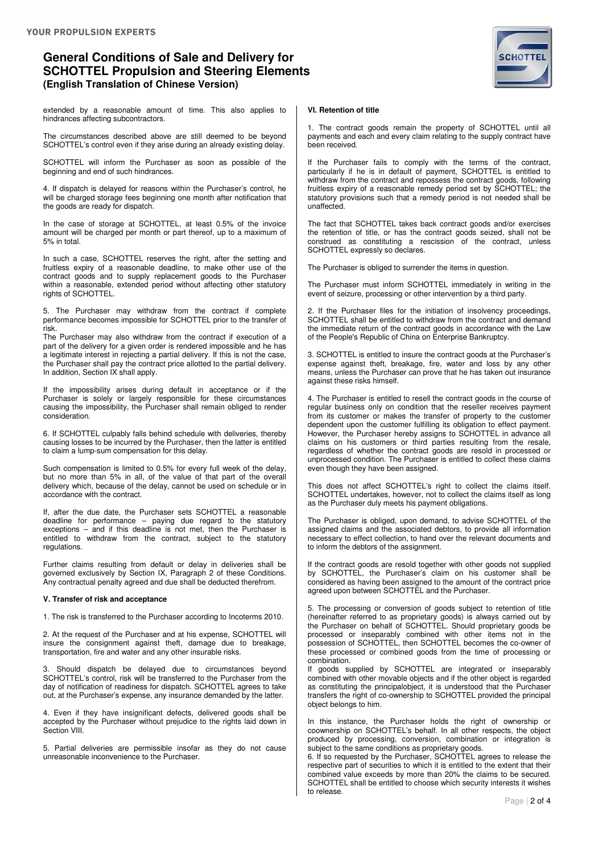

extended by a reasonable amount of time. This also applies to hindrances affecting subcontractors.

The circumstances described above are still deemed to be beyond SCHOTTEL's control even if they arise during an already existing delay.

SCHOTTEL will inform the Purchaser as soon as possible of the beginning and end of such hindrances.

4. If dispatch is delayed for reasons within the Purchaser's control, he will be charged storage fees beginning one month after notification that the goods are ready for dispatch.

In the case of storage at SCHOTTEL, at least 0.5% of the invoice amount will be charged per month or part thereof, up to a maximum of 5% in total.

In such a case, SCHOTTEL reserves the right, after the setting and fruitless expiry of a reasonable deadline, to make other use of the contract goods and to supply replacement goods to the Purchaser within a reasonable, extended period without affecting other statutory rights of SCHOTTEL.

5. The Purchaser may withdraw from the contract if complete performance becomes impossible for SCHOTTEL prior to the transfer of risk.

The Purchaser may also withdraw from the contract if execution of a part of the delivery for a given order is rendered impossible and he has a legitimate interest in rejecting a partial delivery. If this is not the case, the Purchaser shall pay the contract price allotted to the partial delivery. In addition, Section IX shall apply.

If the impossibility arises during default in acceptance or if the Purchaser is solely or largely responsible for these circumstances causing the impossibility, the Purchaser shall remain obliged to render consideration.

6. If SCHOTTEL culpably falls behind schedule with deliveries, thereby causing losses to be incurred by the Purchaser, then the latter is entitled to claim a lump-sum compensation for this delay.

Such compensation is limited to 0.5% for every full week of the delay, but no more than 5% in all, of the value of that part of the overall delivery which, because of the delay, cannot be used on schedule or in accordance with the contract.

If, after the due date, the Purchaser sets SCHOTTEL a reasonable deadline for performance – paying due regard to the statutory exceptions – and if this deadline is not met, then the Purchaser is entitled to withdraw from the contract, subject to the statutory regulations.

Further claims resulting from default or delay in deliveries shall be governed exclusively by Section IX, Paragraph 2 of these Conditions. Any contractual penalty agreed and due shall be deducted therefrom.

#### **V. Transfer of risk and acceptance**

1. The risk is transferred to the Purchaser according to Incoterms 2010.

2. At the request of the Purchaser and at his expense, SCHOTTEL will insure the consignment against theft, damage due to breakage, transportation, fire and water and any other insurable risks.

Should dispatch be delayed due to circumstances beyond SCHOTTEL's control, risk will be transferred to the Purchaser from the day of notification of readiness for dispatch. SCHOTTEL agrees to take out, at the Purchaser's expense, any insurance demanded by the latter.

4. Even if they have insignificant defects, delivered goods shall be accepted by the Purchaser without prejudice to the rights laid down in Section VIII.

5. Partial deliveries are permissible insofar as they do not cause unreasonable inconvenience to the Purchaser.

#### **VI. Retention of title**

1. The contract goods remain the property of SCHOTTEL until all payments and each and every claim relating to the supply contract have been received.

If the Purchaser fails to comply with the terms of the contract, particularly if he is in default of payment, SCHOTTEL is entitled to withdraw from the contract and repossess the contract goods, following fruitless expiry of a reasonable remedy period set by SCHOTTEL; the statutory provisions such that a remedy period is not needed shall be unaffected.

The fact that SCHOTTEL takes back contract goods and/or exercises the retention of title, or has the contract goods seized, shall not be construed as constituting a rescission of the contract, unless SCHOTTEL expressly so declares.

The Purchaser is obliged to surrender the items in question.

The Purchaser must inform SCHOTTEL immediately in writing in the event of seizure, processing or other intervention by a third party.

2. If the Purchaser files for the initiation of insolvency proceedings, SCHOTTEL shall be entitled to withdraw from the contract and demand the immediate return of the contract goods in accordance with the Law of the People's Republic of China on Enterprise Bankruptcy.

3. SCHOTTEL is entitled to insure the contract goods at the Purchaser's expense against theft, breakage, fire, water and loss by any other means, unless the Purchaser can prove that he has taken out insurance against these risks himself.

4. The Purchaser is entitled to resell the contract goods in the course of regular business only on condition that the reseller receives payment from its customer or makes the transfer of property to the customer dependent upon the customer fulfilling its obligation to effect payment. However, the Purchaser hereby assigns to SCHOTTEL in advance all claims on his customers or third parties resulting from the resale, regardless of whether the contract goods are resold in processed or unprocessed condition. The Purchaser is entitled to collect these claims even though they have been assigned.

This does not affect SCHOTTEL's right to collect the claims itself. SCHOTTEL undertakes, however, not to collect the claims itself as long as the Purchaser duly meets his payment obligations.

The Purchaser is obliged, upon demand, to advise SCHOTTEL of the assigned claims and the associated debtors, to provide all information necessary to effect collection, to hand over the relevant documents and to inform the debtors of the assignment.

If the contract goods are resold together with other goods not supplied by SCHOTTEL, the Purchaser's claim on his customer shall be considered as having been assigned to the amount of the contract price agreed upon between SCHOTTEL and the Purchaser.

5. The processing or conversion of goods subject to retention of title (hereinafter referred to as proprietary goods) is always carried out by the Purchaser on behalf of SCHOTTEL. Should proprietary goods be processed or inseparably combined with other items not in the possession of SCHOTTEL, then SCHOTTEL becomes the co-owner of these processed or combined goods from the time of processing or combination.

If goods supplied by SCHOTTEL are integrated or inseparably combined with other movable objects and if the other object is regarded as constituting the principalobject, it is understood that the Purchaser transfers the right of co-ownership to SCHOTTEL provided the principal object belongs to him.

In this instance, the Purchaser holds the right of ownership or coownership on SCHOTTEL's behalf. In all other respects, the object produced by processing, conversion, combination or integration is subject to the same conditions as proprietary goods.

6. If so requested by the Purchaser, SCHOTTEL agrees to release the respective part of securities to which it is entitled to the extent that their combined value exceeds by more than 20% the claims to be secured. SCHOTTEL shall be entitled to choose which security interests it wishes to release.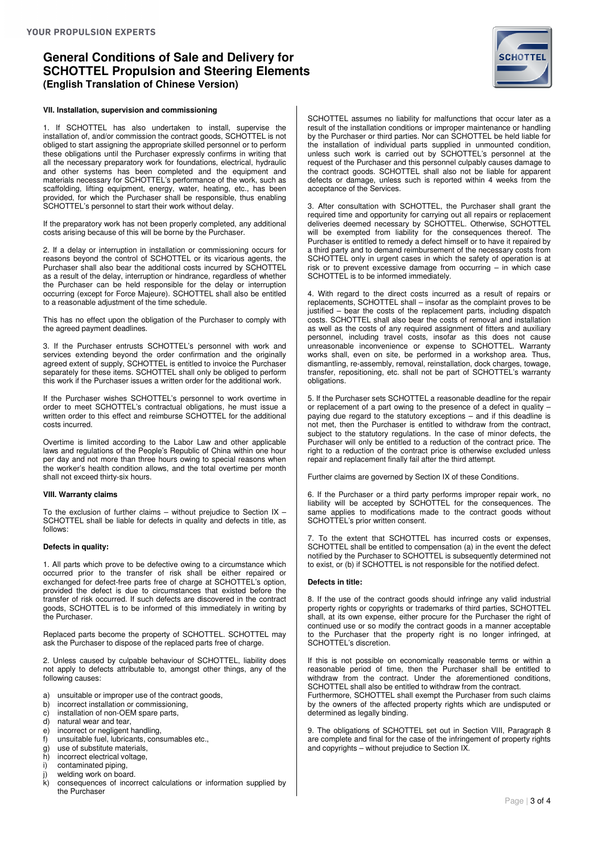### **VII. Installation, supervision and commissioning**

1. If SCHOTTEL has also undertaken to install, supervise the installation of, and/or commission the contract goods, SCHOTTEL is not obliged to start assigning the appropriate skilled personnel or to perform these obligations until the Purchaser expressly confirms in writing that all the necessary preparatory work for foundations, electrical, hydraulic and other systems has been completed and the equipment and materials necessary for SCHOTTEL's performance of the work, such as scaffolding, lifting equipment, energy, water, heating, etc., has been provided, for which the Purchaser shall be responsible, thus enabling SCHOTTEL's personnel to start their work without delay.

If the preparatory work has not been properly completed, any additional costs arising because of this will be borne by the Purchaser.

2. If a delay or interruption in installation or commissioning occurs for reasons beyond the control of SCHOTTEL or its vicarious agents, the Purchaser shall also bear the additional costs incurred by SCHOTTEL as a result of the delay, interruption or hindrance, regardless of whether the Purchaser can be held responsible for the delay or interruption occurring (except for Force Majeure). SCHOTTEL shall also be entitled to a reasonable adjustment of the time schedule.

This has no effect upon the obligation of the Purchaser to comply with the agreed payment deadlines.

3. If the Purchaser entrusts SCHOTTEL's personnel with work and services extending beyond the order confirmation and the originally agreed extent of supply, SCHOTTEL is entitled to invoice the Purchaser separately for these items. SCHOTTEL shall only be obliged to perform this work if the Purchaser issues a written order for the additional work.

If the Purchaser wishes SCHOTTEL's personnel to work overtime in order to meet SCHOTTEL's contractual obligations, he must issue a written order to this effect and reimburse SCHOTTEL for the additional costs incurred.

Overtime is limited according to the Labor Law and other applicable laws and regulations of the People's Republic of China within one hour per day and not more than three hours owing to special reasons when the worker's health condition allows, and the total overtime per month shall not exceed thirty-six hours.

#### **VIII. Warranty claims**

To the exclusion of further claims – without prejudice to Section IX – SCHOTTEL shall be liable for defects in quality and defects in title, as follows:

### **Defects in quality:**

1. All parts which prove to be defective owing to a circumstance which occurred prior to the transfer of risk shall be either repaired or exchanged for defect-free parts free of charge at SCHOTTEL's option, provided the defect is due to circumstances that existed before the transfer of risk occurred. If such defects are discovered in the contract goods, SCHOTTEL is to be informed of this immediately in writing by the Purchaser.

Replaced parts become the property of SCHOTTEL. SCHOTTEL may ask the Purchaser to dispose of the replaced parts free of charge.

2. Unless caused by culpable behaviour of SCHOTTEL, liability does not apply to defects attributable to, amongst other things, any of the following causes:

- a) unsuitable or improper use of the contract goods,<br>b) incorrect installation or commissioning,
- b) incorrect installation or commissioning,<br>c) installation of non-OEM spare parts.
- installation of non-OEM spare parts,
- $\begin{array}{cc} d & \text{natural} \\ e & \text{incorrect} \\ e & \text{real} \end{array}$
- e) incorrect or negligent handling,<br>f) unsuitable fuel, lubricants, cons
- f) unsuitable fuel, lubricants, consumables etc.,<br>
q) use of substitute materials.
- use of substitute materials,
- h) incorrect electrical voltage,<br>i) contaminated piping
- contaminated piping.
- j) welding work on board.<br>k) consequences of incor
- consequences of incorrect calculations or information supplied by the Purchaser

SCHOTTEL assumes no liability for malfunctions that occur later as a result of the installation conditions or improper maintenance or handling by the Purchaser or third parties. Nor can SCHOTTEL be held liable for the installation of individual parts supplied in unmounted condition, unless such work is carried out by SCHOTTEL's personnel at the request of the Purchaser and this personnel culpably causes damage to the contract goods. SCHOTTEL shall also not be liable for apparent defects or damage, unless such is reported within 4 weeks from the acceptance of the Services.

3. After consultation with SCHOTTEL, the Purchaser shall grant the required time and opportunity for carrying out all repairs or replacement deliveries deemed necessary by SCHOTTEL. Otherwise, SCHOTTEL will be exempted from liability for the consequences thereof. The Purchaser is entitled to remedy a defect himself or to have it repaired by a third party and to demand reimbursement of the necessary costs from SCHOTTEL only in urgent cases in which the safety of operation is at risk or to prevent excessive damage from occurring – in which case SCHOTTEL is to be informed immediately.

4. With regard to the direct costs incurred as a result of repairs or replacements, SCHOTTEL shall – insofar as the complaint proves to be justified – bear the costs of the replacement parts, including dispatch costs. SCHOTTEL shall also bear the costs of removal and installation as well as the costs of any required assignment of fitters and auxiliary personnel, including travel costs, insofar as this does not cause unreasonable inconvenience or expense to SCHOTTEL. Warranty works shall, even on site, be performed in a workshop area. Thus, dismantling, re-assembly, removal, reinstallation, dock charges, towage, transfer, repositioning, etc. shall not be part of SCHOTTEL's warranty obligations.

5. If the Purchaser sets SCHOTTEL a reasonable deadline for the repair or replacement of a part owing to the presence of a defect in quality – paying due regard to the statutory exceptions – and if this deadline is not met, then the Purchaser is entitled to withdraw from the contract, subject to the statutory regulations. In the case of minor defects, the Purchaser will only be entitled to a reduction of the contract price. The right to a reduction of the contract price is otherwise excluded unless repair and replacement finally fail after the third attempt.

Further claims are governed by Section IX of these Conditions.

6. If the Purchaser or a third party performs improper repair work, no liability will be accepted by SCHOTTEL for the consequences. The same applies to modifications made to the contract goods without SCHOTTEL's prior written consent.

7. To the extent that SCHOTTEL has incurred costs or expenses, SCHOTTEL shall be entitled to compensation (a) in the event the defect notified by the Purchaser to SCHOTTEL is subsequently determined not to exist, or (b) if SCHOTTEL is not responsible for the notified defect.

### **Defects in title:**

8. If the use of the contract goods should infringe any valid industrial property rights or copyrights or trademarks of third parties, SCHOTTEL shall, at its own expense, either procure for the Purchaser the right of continued use or so modify the contract goods in a manner acceptable to the Purchaser that the property right is no longer infringed, at SCHOTTEL's discretion.

If this is not possible on economically reasonable terms or within a reasonable period of time, then the Purchaser shall be entitled to withdraw from the contract. Under the aforementioned conditions, SCHOTTEL shall also be entitled to withdraw from the contract.

Furthermore, SCHOTTEL shall exempt the Purchaser from such claims by the owners of the affected property rights which are undisputed or determined as legally binding.

9. The obligations of SCHOTTEL set out in Section VIII, Paragraph 8 are complete and final for the case of the infringement of property rights and copyrights – without prejudice to Section IX.